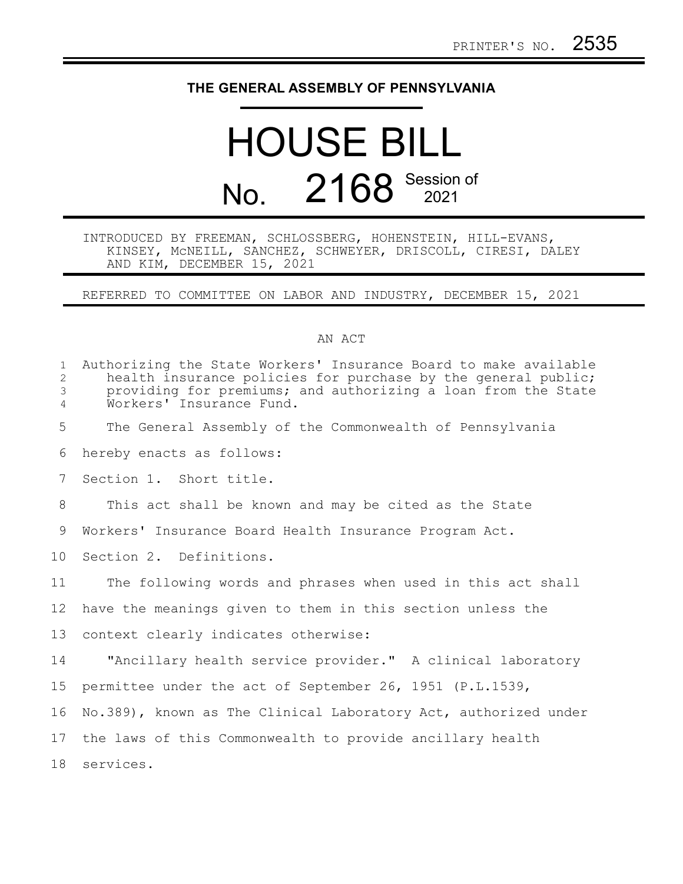## **THE GENERAL ASSEMBLY OF PENNSYLVANIA**

## HOUSE BILL No. 2168 Session of

## INTRODUCED BY FREEMAN, SCHLOSSBERG, HOHENSTEIN, HILL-EVANS, KINSEY, McNEILL, SANCHEZ, SCHWEYER, DRISCOLL, CIRESI, DALEY AND KIM, DECEMBER 15, 2021

REFERRED TO COMMITTEE ON LABOR AND INDUSTRY, DECEMBER 15, 2021

## AN ACT

| $\mathbf{1}$<br>$\overline{2}$<br>$\mathfrak{Z}$<br>$\overline{4}$ | Authorizing the State Workers' Insurance Board to make available<br>health insurance policies for purchase by the general public;<br>providing for premiums; and authorizing a loan from the State<br>Workers' Insurance Fund. |
|--------------------------------------------------------------------|--------------------------------------------------------------------------------------------------------------------------------------------------------------------------------------------------------------------------------|
| 5                                                                  | The General Assembly of the Commonwealth of Pennsylvania                                                                                                                                                                       |
| 6                                                                  | hereby enacts as follows:                                                                                                                                                                                                      |
| 7                                                                  | Section 1. Short title.                                                                                                                                                                                                        |
| 8                                                                  | This act shall be known and may be cited as the State                                                                                                                                                                          |
| 9                                                                  | Workers' Insurance Board Health Insurance Program Act.                                                                                                                                                                         |
| 10                                                                 | Section 2. Definitions.                                                                                                                                                                                                        |
| 11                                                                 | The following words and phrases when used in this act shall                                                                                                                                                                    |
| 12 <sup>°</sup>                                                    | have the meanings given to them in this section unless the                                                                                                                                                                     |
| 13                                                                 | context clearly indicates otherwise:                                                                                                                                                                                           |
| 14                                                                 | "Ancillary health service provider." A clinical laboratory                                                                                                                                                                     |
| 15                                                                 | permittee under the act of September 26, 1951 (P.L.1539,                                                                                                                                                                       |
| 16                                                                 | No.389), known as The Clinical Laboratory Act, authorized under                                                                                                                                                                |
| 17                                                                 | the laws of this Commonwealth to provide ancillary health                                                                                                                                                                      |
| 18                                                                 | services.                                                                                                                                                                                                                      |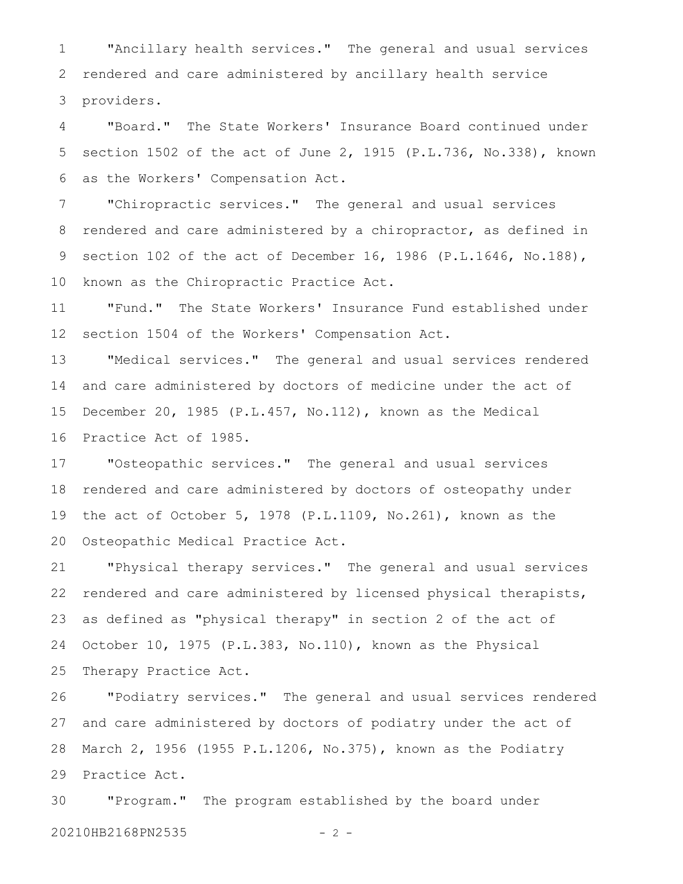"Ancillary health services." The general and usual services rendered and care administered by ancillary health service providers. 1 2 3

"Board." The State Workers' Insurance Board continued under section 1502 of the act of June 2, 1915 (P.L.736, No.338), known as the Workers' Compensation Act. 4 5 6

"Chiropractic services." The general and usual services rendered and care administered by a chiropractor, as defined in section 102 of the act of December 16, 1986 (P.L.1646, No.188), known as the Chiropractic Practice Act. 7 8 9 10

"Fund." The State Workers' Insurance Fund established under section 1504 of the Workers' Compensation Act. 11 12

"Medical services." The general and usual services rendered and care administered by doctors of medicine under the act of December 20, 1985 (P.L.457, No.112), known as the Medical Practice Act of 1985. 13 14 15 16

"Osteopathic services." The general and usual services rendered and care administered by doctors of osteopathy under the act of October 5, 1978 (P.L.1109, No.261), known as the Osteopathic Medical Practice Act. 17 18 19 20

"Physical therapy services." The general and usual services rendered and care administered by licensed physical therapists, as defined as "physical therapy" in section 2 of the act of October 10, 1975 (P.L.383, No.110), known as the Physical Therapy Practice Act. 21 22 23 24 25

"Podiatry services." The general and usual services rendered and care administered by doctors of podiatry under the act of March 2, 1956 (1955 P.L.1206, No.375), known as the Podiatry Practice Act. 26 27 28 29

"Program." The program established by the board under 20210HB2168PN2535 - 2 -30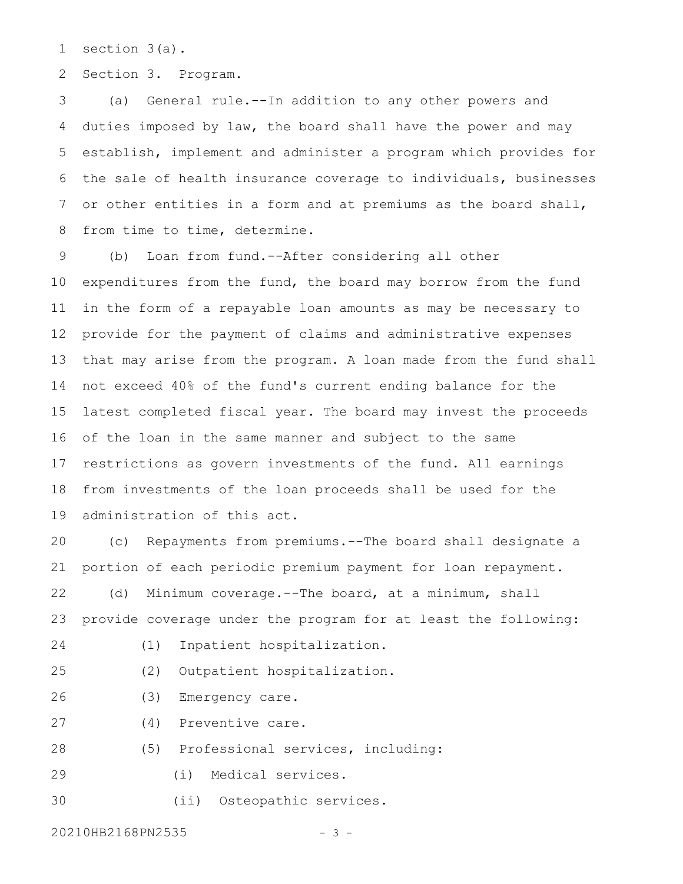section 3(a). 1

Section 3. Program. 2

(a) General rule.--In addition to any other powers and duties imposed by law, the board shall have the power and may establish, implement and administer a program which provides for the sale of health insurance coverage to individuals, businesses or other entities in a form and at premiums as the board shall, from time to time, determine. 3 4 5 6 7 8

(b) Loan from fund.--After considering all other expenditures from the fund, the board may borrow from the fund in the form of a repayable loan amounts as may be necessary to provide for the payment of claims and administrative expenses that may arise from the program. A loan made from the fund shall not exceed 40% of the fund's current ending balance for the latest completed fiscal year. The board may invest the proceeds of the loan in the same manner and subject to the same restrictions as govern investments of the fund. All earnings from investments of the loan proceeds shall be used for the administration of this act. 9 10 11 12 13 14 15 16 17 18 19

(c) Repayments from premiums.--The board shall designate a portion of each periodic premium payment for loan repayment. (d) Minimum coverage.--The board, at a minimum, shall 20 21 22

provide coverage under the program for at least the following: 23

- 24
- (1) Inpatient hospitalization.
- (2) Outpatient hospitalization. 25
- (3) Emergency care. 26
- (4) Preventive care. 27
- (5) Professional services, including: 28
- (i) Medical services. 29

(ii) Osteopathic services. 30

20210HB2168PN2535 - 3 -